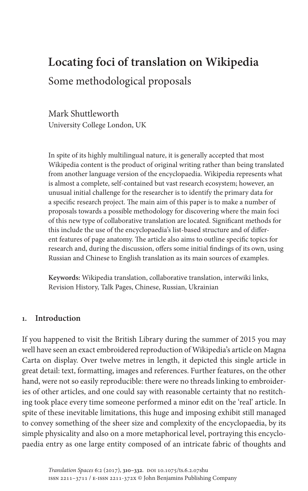# **Locating foci of translation on Wikipedia** Some methodological proposals

Mark Shuttleworth University College London, UK

In spite of its highly multilingual nature, it is generally accepted that most Wikipedia content is the product of original writing rather than being translated from another language version of the encyclopaedia. Wikipedia represents what is almost a complete, self-contained but vast research ecosystem; however, an unusual initial challenge for the researcher is to identify the primary data for a specific research project. The main aim of this paper is to make a number of proposals towards a possible methodology for discovering where the main foci of this new type of collaborative translation are located. Significant methods for this include the use of the encyclopaedia's list-based structure and of different features of page anatomy. The article also aims to outline specific topics for research and, during the discussion, offers some initial findings of its own, using Russian and Chinese to English translation as its main sources of examples.

**Keywords:** Wikipedia translation, collaborative translation, interwiki links, Revision History, Talk Pages, Chinese, Russian, Ukrainian

#### **1. Introduction**

If you happened to visit the British Library during the summer of 2015 you may well have seen an exact embroidered reproduction of Wikipedia's article on Magna Carta on display. Over twelve metres in length, it depicted this single article in great detail: text, formatting, images and references. Further features, on the other hand, were not so easily reproducible: there were no threads linking to embroideries of other articles, and one could say with reasonable certainty that no restitching took place every time someone performed a minor edit on the 'real' article. In spite of these inevitable limitations, this huge and imposing exhibit still managed to convey something of the sheer size and complexity of the encyclopaedia, by its simple physicality and also on a more metaphorical level, portraying this encyclopaedia entry as one large entity composed of an intricate fabric of thoughts and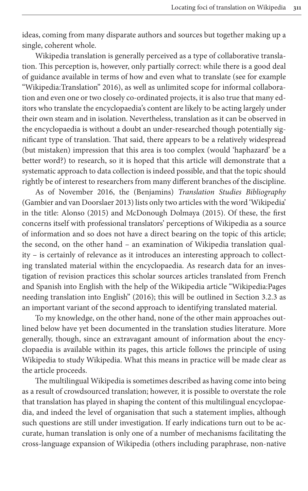ideas, coming from many disparate authors and sources but together making up a single, coherent whole.

Wikipedia tra[nslati](#page-22-0)on is generally perceived as a type of collaborative translation. This perception is, however, only partially correct: while there is a good deal of guidance available in terms of how and even what to translate (see for example "Wikipedia:Translation" 2016), as well as unlimited scope for informal collaboration and even one or two closely co-ordinated projects, it is also true that many editors who translate the encyclopaedia's content are likely to be acting largely under their own steam and in isolation. Nevertheless, translation as it can be observed in the encyclopaedia is without a doubt an under-researched though potentially significant type of translation. That said, there appears to be a relatively widespread (but mistaken) impression that this area is too complex (would 'haphazard' be a better word?) to research, so it is hoped that this article will demonstrate that a [systematic approach to data](#page-21-0) collection is indeed possible, and that the topic should right[ly be of interest](#page-20-0) to re[searchers from many different](#page-21-1) branches of the discipline.

As of November 2016, the (Benjamins) *Translation Studies Bibliography* (Gambier and van Doorslaer 2013) lists only two articles with the word 'Wikipedia' in the title: Alonso (2015) and McDonough Dolmaya (2015). Of these, the first concerns itself with professional translators' perceptions of Wikipedia as a source of information and so does not have a direct bearing on the topic of this article; the second, on the other hand – an examination of Wikipedia translation quality – is certainly of relevance as it introduces an interesting approach to collecting translated material wit[hin th](#page-22-1)e encyclopaedia. As rese[arch data for](#page-14-0) an investigation of revision practices this scholar sources articles translated from French and Spanish into English with the help of the Wikipedia article "Wikipedia:Pages needing translation into English" (2016); this will be outlined in Section 3.2.3 as an important variant of the second approach to identifying translated material.

To my knowledge, on the other hand, none of the other main approaches outlined below have yet been documented in the translation studies literature. More generally, though, since an extravagant amount of information about the encyclopaedia is available within its pages, this article follows the principle of using Wikipedia to study Wikipedia. What this means in practice will be made clear as the article proceeds.

The multilingual Wikipedia is sometimes described as having come into being as a result of crowdsourced translation; however, it is possible to overstate the role that translation has played in shaping the content of this multilingual encyclopaedia, and indeed the level of organisation that such a statement implies, although such questions are still under investigation. If early indications turn out to be accurate, human translation is only one of a number of mechanisms facilitating the cross-language expansion of Wikipedia (others including paraphrase, non-native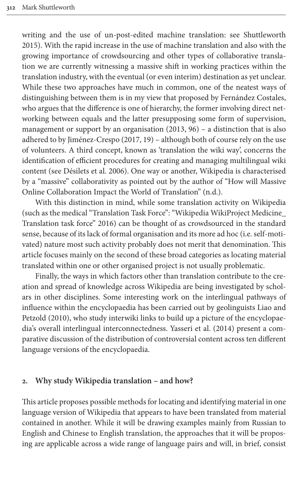writing and the use of un-post-edited machine translation: see Shuttleworth 2015). With the rapid increase in the use of machine translation and also with the growing importance of crowdsourcing and other types of collaborative translation we are currently witnessing a massive shift in working practices within the translation industry, with the eventual (or even interim) destination as yet unclear. While these two approaches have much in common, one of the neatest ways of distinguishing between them is in my [view](#page-21-3) that proposed by Fernández Costales, who argues that the diffe[rence](#page-21-4) is one of hierarchy, the former involving direct networking between equals and the latter presupposing some form of supervision, management or support by an organisation (2013, 96) – a distinction that is also adher[ed to by Jiménez-Cr](#page-20-1)espo (2017, 19) – although both of course rely on the use of volunteers. A third concept, known as 'translation the wiki way', concerns the identification of efficient procedures for creating and managing multilingual wiki content (see Désilets et al. 2006). One way or another, Wikipedia is characterised by a "massive" collaborativity as pointed out by the author of "How will Massive Online Collabor[ation](#page-22-2) Impact the World of Translation" (n.d.).

With this distinction in mind, while some translation activity on Wikipedia (such as the medical "Translation Task Force": "Wikipedia WikiProject Medicine\_ Translation task force" 2016) can be thought of as crowdsourced in the standard sense, because of its lack of formal organisation and its more ad hoc (i.e. self-motivated) nature most such activity probably does not merit that denomination. This article focuses mainly on the second of these broad categories as locating material translated within one or other organised project is not usually problematic.

Finally, the ways in which factors other than translation contr[ibute to th](#page-21-5)e cre[ation an](#page-21-5)d spread of knowledge across Wikipedia are being investigated by scholars in other disciplines. Some interes[ting work on the int](#page-22-3)erlingual pathways of influence within the encyclopaedia has been carried out by geolinguists Liao and Petzold (2010), who study interwiki links to build up a picture of the encyclopaedia's overall interlingual interconnectedness. Yasseri et al. (2014) present a comparative discussion of the distribution of controversial content across ten different language versions of the encyclopaedia.

#### <span id="page-2-0"></span>**2. Why study Wikipedia translation – and how?**

This article proposes possible methods for locating and identifying material in one language version of Wikipedia that appears to have been translated from material contained in another. While it will be drawing examples mainly from Russian to English and Chinese to English translation, the approaches that it will be proposing are applicable across a wide range of language pairs and will, in brief, consist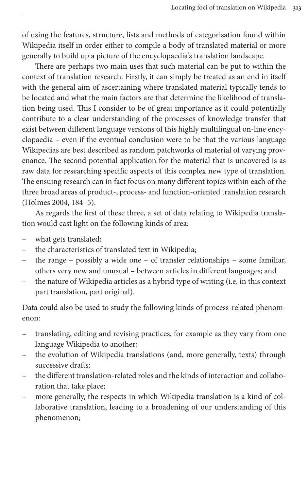of using the features, structure, lists and methods of categorisation found within Wikipedia itself in order either to compile a body of translated material or more generally to build up a picture of the encyclopaedia's translation landscape.

There are perhaps two main uses that such material can be put to within the context of translation research. Firstly, it can simply be treated as an end in itself with the general aim of ascertaining where translated material typically tends to be located and what the main factors are that determine the likelihood of translation being used. This I consider to be of great importance as it could potentially contribute to a clear understanding of the processes of knowledge transfer that exist between different language versions of this highly multilingual on-line encyclopaedia – even if the eventual conclusion were to be that the various language Wikipedias are best described as random patchworks of material of varying provenance. The second potential application for the material that is uncovered is as [raw dat](#page-21-6)a for researching specific aspects of this complex new type of translation. The ensuing research can in fact focus on many different topics within each of the three broad areas of product-, process- and function-oriented translation research (Holmes 2004, 184–5).

As regards the first of these three, a set of data relating to Wikipedia translation would cast light on the following kinds of area:

- what gets translated;
- the characteristics of translated text in Wikipedia;
- the range possibly a wide one of transfer relationships some familiar, others very new and unusual – between articles in different languages; and
- the nature of Wikipedia articles as a hybrid type of writing (i.e. in this context part translation, part original).

Data could also be used to study the following kinds of process-related phenomenon:

- translating, editing and revising practices, for example as they vary from one language Wikipedia to another;
- the evolution of Wikipedia translations (and, more generally, texts) through successive drafts;
- the different translation-related roles and the kinds of interaction and collaboration that take place;
- more generally, the respects in which Wikipedia translation is a kind of collaborative translation, leading to a broadening of our understanding of this phenomenon;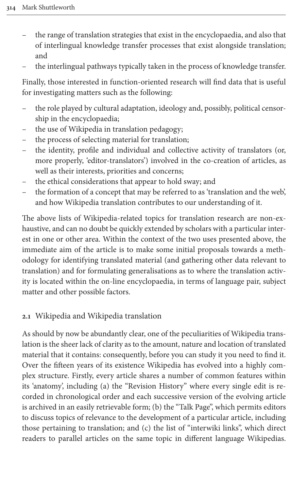- the range of translation strategies that exist in the encyclopaedia, and also that of interlingual knowledge transfer processes that exist alongside translation; and
- the interlingual pathways typically taken in the process of knowledge transfer.

Finally, those interested in function-oriented research will find data that is useful for investigating matters such as the following:

- the role played by cultural adaptation, ideology and, possibly, political censorship in the encyclopaedia;
- the use of Wikipedia in translation pedagogy;
- the process of selecting material for translation;
- the identity, profile and individual and collective activity of translators (or, more properly, 'editor-translators') involved in the co-creation of articles, as well as their interests, priorities and concerns;
- the ethical considerations that appear to hold sway; and
- the formation of a concept that may be referred to as 'translation and the web', and how Wikipedia translation contributes to our understanding of it.

The above lists of Wikipedia-related topics for translation research are non-exhaustive, and can no doubt be quickly extended by scholars with a particular interest in one or other area. Within the context of the two uses presented above, the immediate aim of the article is to make some initial proposals towards a methodology for identifying translated material (and gathering other data relevant to translation) and for formulating generalisations as to where the translation activity is located within the on-line encyclopaedia, in terms of language pair, subject matter and other possible factors.

## **2.1** Wikipedia and Wikipedia translation

As should by now be abundantly clear, one of the peculiarities of Wikipedia translation is the sheer lack of clarity as to the amount, nature and location of translated material that it contains: consequently, before you can study it you need to find it. Over the fifteen years of its existence Wikipedia has evolved into a highly complex structure. Firstly, every article shares a number of common features within its 'anatomy', including (a) the "Revision History" where every single edit is recorded in chronological order and each successive version of the evolving article is archived in an easily retrievable form; (b) the "Talk Page", which permits editors to discuss topics of relevance to the development of a particular article, including those pertaining to translation; and (c) the list of "interwiki links", which direct readers to parallel articles on the same topic in different language Wikipedias.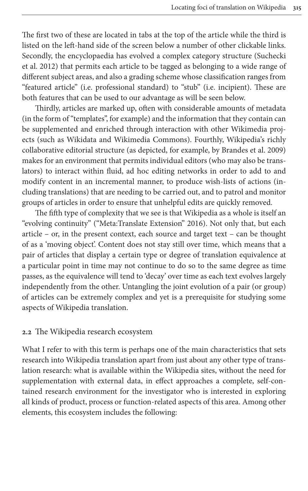[The](#page-22-4) first two of these are located in tabs at the top of the article [while the t](#page-22-4)hird is listed on the left-hand side of the screen below a number of other clickable links. Secondly, the encyclopaedia has evolved a complex category structure (Suchecki et al. 2012) that permits each article to be tagged as belonging to a wide range of different subject areas, and also a grading scheme whose classification ranges from "featured article" (i.e. professional standard) to "stub" (i.e. incipient). These are both features that can be used to our advantage as will be seen below.

Thirdly, articles are marked up, often with considerable amounts of metadata (in the form of "templates", for example) and the infor[mation that they cont](#page-20-2)ain can be supplemented and enriched through interaction with other Wikimedia projects (such as Wikidata and Wikimedia Commons). Fourthly, Wikipedia's richly collaborative editorial structure (as depicted, for example, by Brandes et al. 2009) makes for an environment that permits individual editors (who may also be translators) to interact within fluid, ad hoc editing networks in order to add to and modify content in an incremental manner, to produce wish-lists of actions (including translations) that are needing to be [carrie](#page-21-7)d out, and to patrol and monitor groups of articles in order to ensure that unhelpful edits are quickly removed.

The fifth type of complexity that we see is that Wikipedia as a whole is itself an "evolving continuity" ("Meta:Translate Extension" 2016). Not only that, but each article – or, in the present context, each source and target text – can be thought of as a 'moving object'. Content does not stay still over time, which means that a pair of articles that display a certain type or degree of translation equivalence at a particular point in time may not continue to do so to the same degree as time passes, as the equivalence will tend to 'decay' over time as each text evolves largely independently from the other. Untangling the joint evolution of a pair (or group) of articles can be extremely complex and yet is a prerequisite for studying some aspects of Wikipedia translation.

#### **2.2** The Wikipedia research ecosystem

What I refer to with this term is perhaps one of the main characteristics that sets research into Wikipedia translation apart from just about any other type of translation research: what is available within the Wikipedia sites, without the need for supplementation with external data, in effect approaches a complete, self-contained research environment for the investigator who is interested in exploring all kinds of product, process or function-related aspects of this area. Among other elements, this ecosystem includes the following: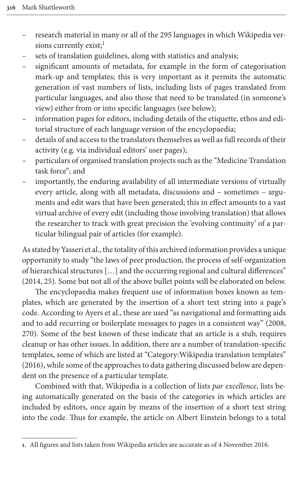- research material in many or all of the 295 languages in which Wikipedia versions currently exist; $<sup>1</sup>$ </sup>
- sets of translation guidelines, along with statistics and analysis;
- significant amounts of metadata, for example in the form of categorisation mark-up and templates; this is very important as it permits the automatic generation of vast numbers of lists, including lists of pages translated from particular languages, and also those that need to be translated (in someone's view) either from or into specific languages (see below);
- information pages for editors, including details of the etiquette, ethos and editorial structure of each language version of the encyclopaedia;
- details of and access to the translators themselves as well as full records of their activity (e.g. via individual editors' user pages);
- particulars of organised translation projects such as the "Medicine Translation task force"; and
- importantly, the enduring availability of all intermediate versions of virtually every article, along with all metadata, discussions and – sometimes – arguments and edit wars that have been generated; this in effect amounts to a vast virtual archive of every edit (including those involving translation) that allows the researcher to track with great precision the 'evolving continuity' of a particular bilingual pair of articles (for example).

As stated by Yasseri et al., the totality of this archived information provides a unique opportunity to study "the laws of peer production, the process of self-organization of hierarchical structures […] and the occurring regional and cultural differences" (2014, 25). Some but not all of the above bullet points will be elaborated on below.

The encyclopaedia makes frequent use of information boxes kn[own a](#page-20-3)s templates, which are generated by the insertion of a short text string into a page's code. According to Ayers et al., these are used "as navigational and formatting aids and to add recurring or boilerplate messages to pages in a consistent way" (2008, 270). Some of the best known of these indicate that an article is a stub, requires cleanup or has other issues. In addition, there are a number of translation-specific templates, some of which are listed at "Category:Wikipedia translation templates" (2016), while some of the approaches to data gathering discussed below are dependent on the presence of a particular template.

Combined with that, Wikipedia is a collection of lists *par excellence*, lists being automatically generated on the basis of the categories in which articles are included by editors, once again by means of the insertion of a short text string into the code. Thus for example, the article on Albert Einstein belongs to a total

**<sup>1.</sup>** All figures and lists taken from Wikipedia articles are accurate as of 4 November 2016.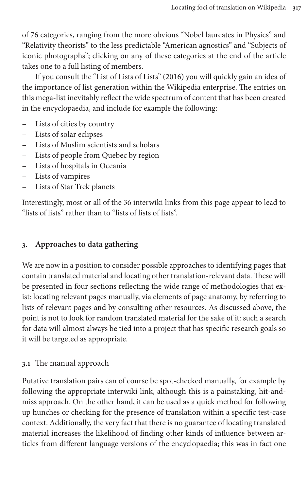of 76 categories, ranging from the more obvious "Nobel laureates in Physics" and "Relativity theorists" to the less predi[ctable](#page-21-8) "American agnostics" and "Subjects of iconic photographs"; clicking on any of these categories at the end of the article takes one to a full listing of members.

If you consult the "List of Lists of Lists" (2016) you will quickly gain an idea of the importance of list generation within the Wikipedia enterprise. The entries on this mega-list inevitably reflect the wide spectrum of content that has been created in the encyclopaedia, and include for example the following:

- Lists of cities by country
- Lists of solar eclipses
- Lists of Muslim scientists and scholars
- Lists of people from Quebec by region
- Lists of hospitals in Oceania
- Lists of vampires
- Lists of Star Trek planets

Interestingly, most or all of the 36 interwiki links from this page appear to lead to "lists of lists" rather than to "lists of lists of lists".

## **3. Approaches to data gathering**

We are now in a position to consider possible approaches to identifying pages that contain translated material and locating other translation-relevant data. These will be presented in four sections reflecting the wide range of methodologies that exist: locating relevant pages manually, via elements of page anatomy, by referring to lists of relevant pages and by consulting other resources. As discussed above, the point is not to look for random translated material for the sake of it: such a search for data will almost always be tied into a project that has specific research goals so it will be targeted as appropriate.

## **3.1** The manual approach

Putative translation pairs can of course be spot-checked manually, for example by following the appropriate interwiki link, although this is a painstaking, hit-andmiss approach. On the other hand, it can be used as a quick method for following up hunches or checking for the presence of translation within a specific test-case context. Additionally, the very fact that there is no guarantee of locating translated material increases the likelihood of finding other kinds of influence between articles from different language versions of the encyclopaedia; this was in fact one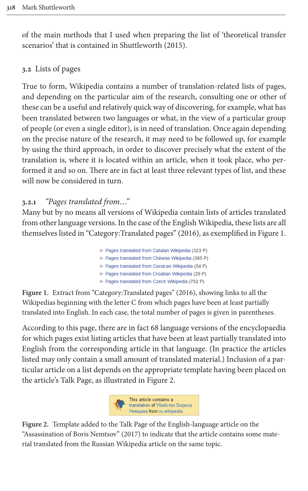<span id="page-8-2"></span>of the main methods that I used when preparing the list of 'theoretical transfer scenarios' that is contained in Shuttleworth (2015).

## **3.2** Lists of pages

True to form, Wikipedia contains a number of translation-related lists of pages, and depending on the particular aim of the research, consulting one or other of these can be a useful and relatively quick way of discovering, for example, what has been translated between two languages or what, in the view of a particular group of people (or even a single editor), is in need of translation. Once again depending on the precise nature of the research, it may need to be followed up, for example by using the third approach, in order to discover precisely what the extent of the translation is, where it is located within an article, when it took place, who performed it and so on. There are in fact at least three relevant types of list, and these will now be considered in turn.

## **3.2.1** *"Pages translated from…"*

Many but by no means all versions of Wik[ipedi](#page-20-4)a contain lists of ar[ticles tra](#page-8-0)nslated from other language versions. In the case of the English Wikipedia, these lists are all themselves listed in "Category:Translated pages" (2016), as exemplified in Figure 1.

<span id="page-8-0"></span>

|  |  | Pages translated from Catalan Wikipedia (323 P) |
|--|--|-------------------------------------------------|
|  |  | Pages translated from Chinese Wikipedia (385 P) |
|  |  | Pages translated from Corsican Wikipedia (54 P) |
|  |  | Pages translated from Croatian Wikipedia (29 P) |
|  |  | Pages translated from Czech Wikipedia (752 P)   |

**Figure 1.** Extract from "Category:Translated pages" (2016), showing links to all the Wikipedias beginning with the letter C from which pages have been at least partially translated into English. In each case, the total number of pages is given in parentheses.

According to this page, there are in fact 68 language versions of the encyclopaedia for which pages exist listing articles that have been at least partially translated into English from the correspondin[g article](#page-8-1) in that language. (In practice the articles listed may only contain a small amount of translated material.) Inclusion of a particular article on a list depends on the appropriate template having been placed on the article's Talk Page, as illustrated in Figure 2.

<span id="page-8-1"></span>

**Figure 2.** Template added to the Talk Page of the English-language article on the "Assassination of Boris Nemtsov" (2017) to indicate that the article contains some material translated from the Russian Wikipedia article on the same topic.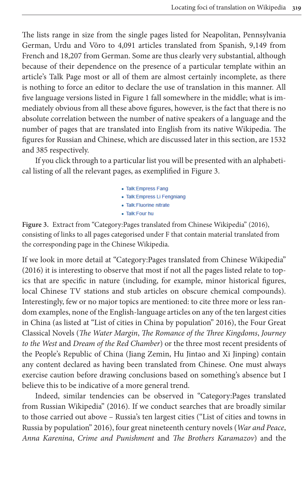The lists range in size from the single pages listed for Neapolitan, Pennsylvania German, Urdu and Võro to 4,091 articles translated from Spanish, 9,149 from French and 18,207 from German. Some are thus clearly very substantial, although because of their depen[dence on](#page-8-0) the presence of a particular template within an article's Talk Page most or all of them are almost certainly incomplete, as there is nothing to force an editor to declare the use of translation in this manner. All five language versions listed in Figure 1 fall somewhere in the middle; what is immediately obvious from all these above figures, however, is the fact that there is no absolute correlation between the number of native speakers of a language and the number of pages that are translated into English from its native Wikipedia. The figures for Russian and Chinese, which are di[scussed la](#page-9-0)ter in this section, are 1532 and 385 respectively.

If you click through to a particular list you will be presented with an alphabetical listing of all the relevant pages, as exemplified in Figure 3.

> <span id="page-9-0"></span>• Talk:Empress Fang · Talk: Empress Li Fengniang · Talk: Fluorine nitrate · Talk:Four hu

**Figure 3.** Extract from "Category:Pages translated from Chinese Wikipedia" (2016), consisting of links to all pages categorised under F that contain material translated from the corresponding page in the Chinese Wikipedia.

If we look in more detail at "Category:Pages translated from Chinese Wikipedia" (2016) it is interesting to observe that most if not all the pages listed relate to topics that are specific in nature (including, for example, minor historical figures, local Chinese TV stations and stub articles on obs[cure](#page-21-9) chemical compounds). Interestingly, few or no major topics are mentioned: to cite three more or less random examples, none of the English-language articles on any of the ten largest cities in China (as listed at "List of cities in China by population" 2016), the Four Great Classical Novels (*The Water Margin*, *The Romance of the Three Kingdoms*, *Journey to the West* and *Dream of the Red Chamber*) or the three most recent presidents of the People's Republic of China (Jiang Zemin, Hu Jintao and Xi Jinping) contain any content declared as having been translated from Chinese. One must always exercise caution bef[ore d](#page-20-5)rawing conclusions based on something's absence but I believe this to be indicative of a more general trend.

Indeed, si[milar](#page-21-10) tendencies can be observed in "Category:Pages translated from Russian Wikipedia" (2016). If we conduct searches that are broadly similar to those carried out above – Russia's ten largest cities ("List of cities and towns in Russia by population" 2016), four great nineteenth century novels (*War and Peace*, *Anna Karenina*, *Crime and Punishment* and *The Brothers Karamazov*) and the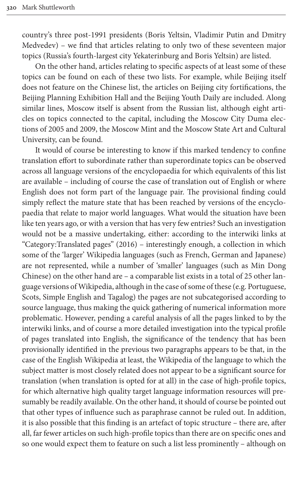country's three post-1991 presidents (Boris Yeltsin, Vladimir Putin and Dmitry Medvedev) – we find that articles relating to only two of these seventeen major topics (Russia's fourth-largest city Yekaterinburg and Boris Yeltsin) are listed.

On the other hand, articles relating to specific aspects of at least some of these topics can be found on each of these two lists. For example, while Beijing itself does not feature on the Chinese list, the articles on Beijing city fortifications, the Beijing Planning Exhibition Hall and the Beijing Youth Daily are included. Along similar lines, Moscow itself is absent from the Russian list, although eight articles on topics connected to the capital, including the Moscow City Duma elections of 2005 and 2009, the Moscow Mint and the Moscow State Art and Cultural University, can be found.

It would of course be interesting to know if this marked tendency to confine translation effort to subordinate rather than superordinate topics can be observed across all language versions of the encyclopaedia for which equivalents of this list are available – including of course the case of translation out of English or where English does not form part of the language pair. The provisional finding could simply reflect the mature state that has been reached by versions of the encyclopaedia that relate to m[ajor w](#page-20-4)orld languages. What would the situation have been like ten years ago, or with a version that has very few entries? Such an investigation would not be a massive undertaking, either: according to the interwiki links at "Category:Translated pages" (2016) – interestingly enough, a collection in which some of the 'larger' Wikipedia languages (such as French, German and Japanese) are not represented, while a number of 'smaller' languages (such as Min Dong Chinese) on the other hand are – a comparable list exists in a total of 25 other language versions of Wikipedia, although in the case of some of these (e.g. Portuguese, Scots, Simple English and Tagalog) the pages are not subcategorised according to source language, thus making the quick gathering of numerical information more problematic. However, pending a careful analysis of all the pages linked to by the interwiki links, and of course a more detailed investigation into the typical profile of pages translated into English, the significance of the tendency that has been provisionally identified in the previous two paragraphs appears to be that, in the case of the English Wikipedia at least, the Wikipedia of the language to which the subject matter is most closely related does not appear to be a significant source for translation (when translation is opted for at all) in the case of high-profile topics, for which alternative high quality target language information resources will presumably be readily available. On the other hand, it should of course be pointed out that other types of influence such as paraphrase cannot be ruled out. In addition, it is also possible that this finding is an artefact of topic structure – there are, after all, far fewer articles on such high-profile topics than there are on specific ones and so one would expect them to feature on such a list less prominently – although on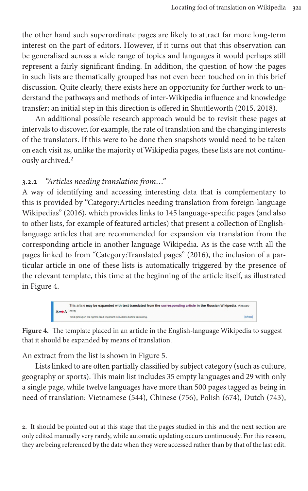the other hand such superordinate pages are likely to attract far more long-term interest on the part of editors. However, if it turns out that this observation can be generalised across a wide range of topics and languages it would perhaps still represent a fairly significant finding. In addition, the question of how the pages in such lists are thematically grouped has not even been to[uched](#page-21-2) [on in](#page-21-11) this brief discussion. Quite clearly, there exists here an opportunity for further work to understand the pathways and methods of inter-Wikipedia influence and knowledge transfer; an initial step in this direction is offered in Shuttleworth (2015, 2018).

An additional possible research approach would be to revisit these pages at interval[s](#page-11-0) to discover, for example, the rate of translation and the changing interests of the translators. If this were to be done then snapshots would need to be taken on each visit as, unlike the majority of Wikipedia pages, these lists are not continuously archived.<sup>2</sup>

### **3.2.2** *"Articles needing translation from…"*

A way of identifying and accessing interesting data that is complementary to this is provided by "Category:Articles needing translation from foreign-language Wikipedias" (2016), which provides links to 145 language-specific pages (and also to other lists, for example of featured articles[\) that](#page-20-4) present a collection of Englishlanguage articles that are recommended for expansion via translation from the corresponding article in another language Wikipedia. As is the case with all the [page](#page-11-1)s linked to from "Category:Translated pages" (2016), the inclusion of a particular article in one of these lists is automatically triggered by the presence of the relevant template, this time at the beginning of the article itself, as illustrated in Figure 4.

<span id="page-11-1"></span>

**Figure 4.** The template placed i[n an articl](#page-12-0)e in the English-language Wikipedia to suggest that it should be expanded by means of translation.

An extract from the list is shown in Figure 5.

<span id="page-11-0"></span>Lists linked to are often partially classified by subject category (such as culture, geography or sports). This main list includes 35 empty languages and 29 with only a single page, while twelve languages have more than 500 pages tagged as being in need of translation: Vietnamese (544), Chinese (756), Polish (674), Dutch (743),

**<sup>2.</sup>** It should be pointed out at this stage that the pages studied in this and the next section are only edited manually very rarely, while automatic updating occurs continuously. For this reason, they are being referenced by the date when they were accessed rather than by that of the last edit.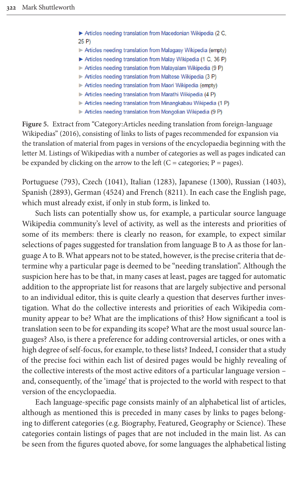Articles needing translation from Macedonian Wikipedia (2 C.  $25P$ Articles needing translation from Malagasy Wikipedia (empty) Articles needing translation from Malay Wikipedia (1 C, 36 P) Articles needing translation from Malayalam Wikipedia (9 P) Articles needing translation from Maltese Wikipedia (3 P)

<span id="page-12-0"></span>Articles needing translation from Maori Wikipedia (empty)

Articles needing translation from Marathi Wikipedia (4 P)

- Articles needing translation from Minangkabau Wikipedia (1 P)
- Articles needing translation from Mongolian Wikipedia (9 P)

**Figure 5.** Extract from "Category:Articles needing translation from foreign-language Wikipedias" (2016), consisting of links to lists of pages recommended for expansion via the translation of material from pages in versions of the encyclopaedia beginning with the letter M. Listings of Wikipedias with a number of categories as well as pages indicated can be expanded by clicking on the arrow to the left  $(C = \text{categories}; P = \text{pages}).$ 

Portuguese (793), Czech (1041), Italian (1283), Japanese (1300), Russian (1403), Spanish (2893), German (4524) and French (8211). In each case the English page, which must already exist, if only in stub form, is linked to.

Such lists can potentially show us, for example, a particular source language Wikipedia community's level of activity, as well as the interests and priorities of some of its members: there is clearly no reason, for example, to expect similar selections of pages suggested for translation from language B to A as those for language A to B. What appears not to be stated, however, is the precise criteria that determine why a particular page is deemed to be "needing translation". Although the suspicion here has to be that, in many cases at least, pages are tagged for automatic addition to the appropriate list for reasons that are largely subjective and personal to an individual editor, this is quite clearly a question that deserves further investigation. What do the collective interests and priorities of each Wikipedia community appear to be? What are the implications of this? How significant a tool is translation seen to be for expanding its scope? What are the most usual source languages? Also, is there a preference for adding controversial articles, or ones with a high degree of self-focus, for example, to these lists? Indeed, I consider that a study of the precise foci within each list of desired pages would be highly revealing of the collective interests of the most active editors of a particular language version – and, consequently, of the 'image' that is projected to the world with respect to that version of the encyclopaedia.

Each language-specific page consists mainly of an alphabetical list of articles, although as mentioned this is preceded in many cases by links to pages belonging to different categories (e.g. Biography, Featured, Geography or Science). These categories contain listings of pages that are not included in the main list. As can be seen from the figures quoted above, for some languages the alphabetical listing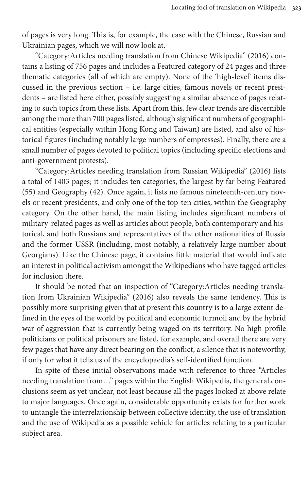of pages is very long. This is, for example, the case with the Chi[nese,](#page-20-6) Russian and Ukrainian pages, which we will now look at.

"Category:Articles needing translation from Chinese Wikipedia" (2016) contains a listing of 756 pages and includes a Featured category of 24 pages and three thematic categories (all of which are empty). None of the 'high-level' items discussed in the previous section – i.e. large cities, famous novels or recent presidents – are listed here either, possibly suggesting a similar absence of pages relating to such topics from these lists. Apart from this, few clear trends are discernible among the more than 700 pages listed, although significant numbers of geographical entities (especially within Hong Kong and Taiwan) are listed, and also of historical figures (including notably large numbers of empresses). [Finally](#page-20-7), there are a small number of pages devoted to political topics (including specific elections and anti-government protests).

"Category:Articles needing translation from Russian Wikipedia" (2016) lists a total of 1403 pages; it includes ten categories, the largest by far being Featured (55) and Geography (42). Once again, it lists no famous nineteenth-century novels or recent presidents, and only one of the top-ten cities, within the Geography category. On the other hand, the main listing includes significant numbers of military-related pages as well as articles about people, both contemporary and historical, and both Russians and representatives of the other nationalities of Russia and the former USSR (including, most notably, a relatively large number about Georgians). Like the Chinese page, it contains little material that would indicate an interest in political activi[sm am](#page-20-8)ongst the Wikipedians who have tagged articles for inclusion there.

It should be noted that an inspection of "Category:Articles needing translation from Ukrainian Wikipedia" (2016) also reveals the same tendency. This is possibly more surprising given that at present this country is to a large extent defined in the eyes of the world by political and economic turmoil and by the hybrid war of aggression that is currently being waged on its territory. No high-profile politicians or political prisoners are listed, for example, and overall there are very few pages that have any direct bearing on the conflict, a silence that is noteworthy, if only for what it tells us of the encyclopaedia's self-identified function.

In spite of these initial observations made with reference to three "Articles needing translation from…" pages within the English Wikipedia, the general conclusions seem as yet unclear, not least because all the pages looked at above relate to major languages. Once again, considerable opportunity exists for further work to untangle the interrelationship between collective identity, the use of translation and the use of Wikipedia as a possible vehicle for articles relating to a particular subject area.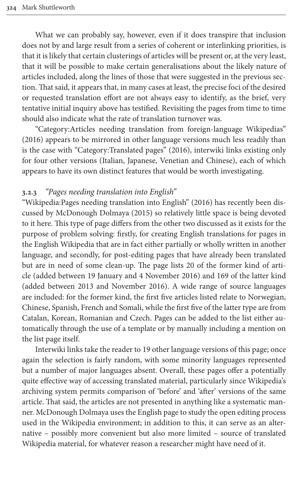What we can probably say, however, even if it does transpire that inclusion does not by and large result from a series of coherent or interlinking priorities, is that it is likely that certain clusterings of articles will be present or, at the very least, that it will be possible to make certain generalisations about the likely nature of articles included, along the lines of those that were suggested in the previous section. That said, it appears that, in many cases at least, the precise foci of the desired or requested translation effort are not always easy to identify, as the brief, very tentative initial inquiry above has testified. Revisiting the pages from time to time should also indicate what the rate of tr[anslat](#page-20-4)ion turnover was.

"Category:Articles needing translation from foreign-language Wikipedias" (2016) appears to be mirrored in other language versions much less readily than is the case with "Category:Translated pages" (2016), interwiki links existing only for four other versions (Italian, Japanese, Venetian and Chinese), each of which appears to have its own distinct features that [would](#page-22-1) be worth investigating.

#### <span id="page-14-0"></span>**3.2.3** *["Pages needing translation](#page-21-1) into English"*

"Wikipedia:Pages needing translation into English" (2016) has recently been discussed by McDonough Dolmaya (2015) so relatively little space is being devoted to it here. This type of page differs from the other two discussed as it exists for the purpose of problem solving: firstly, for creating English translations for pages in the English Wikipedia that are in fact either partially or wholly written in another language, and secondly, for post-editing pages that have already been translated but are in need of some clean-up. The page lists 20 of the former kind of article (added between 19 January and 4 November 2016) and 169 of the latter kind (added between 2013 and November 2016). A wide range of source languages are included: for the former kind, the first five articles listed relate to Norwegian, Chinese, Spanish, French and Somali, while the first five of the latter type are from Catalan, Korean, Romanian and Czech. Pages can be added to the list either automatically through the use of a template or by manually including a mention on the list page itself.

Interwiki links take the reader to 19 other language versions of this page; once again the selection is fairly random, with some minority languages represented but a number of major languages absent. Overall, these pages offer a potentially quite effective way of accessing translated material, particularly since Wikipedia's archiving system permits comparison of 'before' and 'after' versions of the same article. That said, the articles are not presented in anything like a systematic manner. McDonough Dolmaya uses the English page to study the open editing process used in the Wikipedia environment; in addition to this, it can serve as an alternative – possibly more convenient but also more limited – source of translated Wikipedia material, for whatever reason a researcher might have need of it.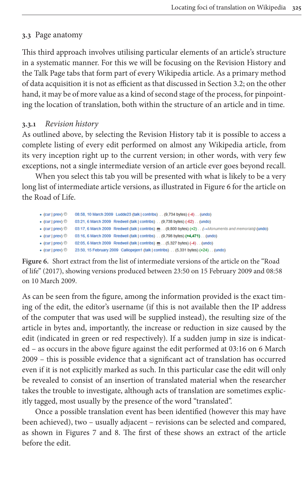## **3.3** Page anatomy

This third approach involves utilising particular el[ements of a](#page-8-2)n article's structure in a systematic manner. For this we will be focusing on the Revision History and the Talk Page tabs that form part of every Wikipedia article. As a primary method of data acquisition it is not as efficient as that discussed in Section 3.2; on the other hand, it may be of more value as a kind of second stage of the process, for pinpointing the location of translation, both within the structure of an article and in time.

## **3.3.1** *Revision history*

As outlined above, by selecting the Revision History tab it is possible to access a complete listing of every edit performed on almost any Wikipedia article, from its very inception right up to the current versio[n; in othe](#page-15-0)r words, with very few exceptions, not a single intermediate version of an article ever goes beyond recall.

When you select this tab you will be presented with what is likely to be a very long list of intermediate article versions, as illustrated in Figure 6 for the article on the Road of Life.

<span id="page-15-0"></span>

| $\bullet$ (cur   prev) $\circledcirc$ | 08:58, 10 March 2009 Ludde23 (talk   contribs) (9,734 bytes) (-4) (undo)                             |
|---------------------------------------|------------------------------------------------------------------------------------------------------|
| $\bullet$ (cur   prev) $\circledcirc$ | 03:21, 6 March 2009 Rredwell (talk   contribs) (9.738 bytes) (-62) (undo)                            |
| $\bullet$ (cur   prev) $\circledcirc$ | 03:17, 6 March 2009 Rredwell (talk   contribs) m (9,800 bytes) (+2) (→Monuments and memorials) (undo |
| $\bullet$ (cur   prev) $\odot$        | 03:16, 6 March 2009 Rredwell (talk   contribs) (9,798 bytes) (+4,471) (undo)                         |
| $\bullet$ (cur   prev) $\circledcirc$ | 02:05, 6 March 2009 Rredwell (talk   contribs) m (5.327 bytes) (-4) (undo)                           |
| $\bullet$ (cur   prev) $\circledcirc$ | 23:50, 15 February 2009 Calliopejen1 (talk   contribs) (5,331 bytes) (+24) (undo)                    |

**Figure 6.** Short extract from the list of intermediate versions of the article on the "Road of life" (2017), showing versions produced between 23:50 on 15 February 2009 and 08:58 on 10 March 2009.

As can be seen from the figure, among the information provided is the exact timing of the edit, the editor's username (if this is not available then the IP address of the computer that was used will be supplied instead), the resulting size of the article in bytes and, importantly, the increase or reduction in size caused by the edit (indicated in green or red respectively). If a sudden jump in size is indicated – as occurs in the above figure against the edit performed at 03:16 on 6 March 2009 – this is possible evidence that a significant act of translation has occurred even if it is not explicitly marked as such. In this particular case the edit will only be revealed to consist of an insertion of translated material when the researcher takes the trouble to investigate, although acts of translation are sometimes explicitly ta[gged, most](#page-16-0) usua[ll](#page-16-1)y by the presence of the word "translated".

Once a possible translation event has been identified (however this may have been achieved), two – usually adjacent – revisions can be selected and compared, as shown in Figures 7 and 8. The first of these shows an extract of the article before the edit.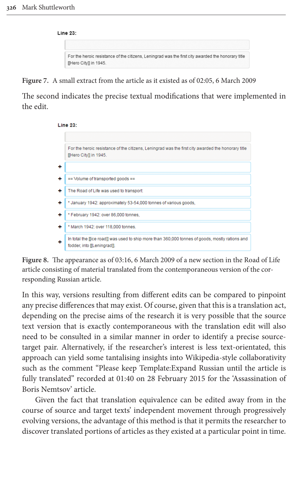<span id="page-16-0"></span>

| <b>Line 23:</b>                                                                                                              |
|------------------------------------------------------------------------------------------------------------------------------|
|                                                                                                                              |
| For the heroic resistance of the citizens. Leningrad was the first city awarded the honorary title<br>[[Hero City]] in 1945. |

**Figure 7.** A small extract from the article as it existed as of 02:05, 6 March 2009

The second indicates the precise textual modifications that were implemented in the edit.



<span id="page-16-1"></span>

In this way, versions resulting from different edits can be compared to pinpoint any precise differences that may exist. Of course, given that this is a translation act, depending on the precise aims of the research it is very possible that the source text version that is exactly contemporaneous with the translation edit will also need to be consulted in a similar manner in order to identify a precise sourcetarget pair. Alternatively, if the researcher's interest is less text-orientated, this approach can yield some tantalising insights into Wikipedia-style collaborativity such as the comment "Please keep Template:Expand Russian until the article is fully translated" recorded at 01:40 on 28 February 2015 for the 'Assassination of Boris Nemtsov' article.

Given the fact that translation equivalence can be edited away from in the course of source and target texts' independent movement through progressively evolving versions, the advantage of this method is that it permits the researcher to discover translated portions of articles as they existed at a particular point in time.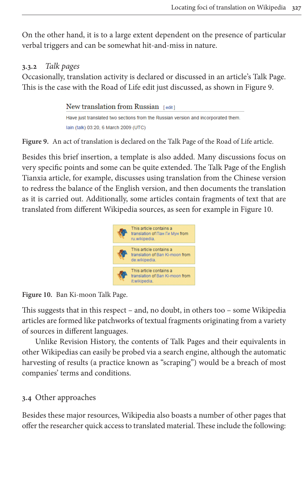On the other hand, it is to a large extent dependent on the presence of particular verbal triggers and can be somewhat hit-and-miss in nature.

## **3.3.2** *Talk pages*

Occasionally, translation activity is declared or discussed in an article's Talk Page. This is the case with the Road of Life edit just discussed, as shown in Figure 9.

```
New translation from Russian [edit]
Have just translated two sections from the Russian version and incorporated them.
lain (talk) 03:20, 6 March 2009 (UTC)
```
**Figure 9.** An act of translation is declared on the Talk Page of the Road of Life article.

Besides this brief insertion, a template is also added. Many discussions focus on very specific points and some can be quite extended. The Talk Page of the English Tianxia article, for example, discusses using translation fro[m the Chin](#page-17-0)ese version to redress the balance of the English version, and then documents the translation as it is carried out. Additionally, some articles contain fragments of text that are translated from different Wikipedia sources, as seen for example in Figure 10.

<span id="page-17-0"></span>

**Figure 10.** Ban Ki-moon Talk Page.

This suggests that in this respect – and, no doubt, in others too – some Wikipedia articles are formed like patchworks of textual fragments originating from a variety of sources in different languages.

Unlike Revision History, the contents of Talk Pages and their equivalents in other Wikipedias can easily be probed via a search engine, although the automatic harvesting of results (a practice known as "scraping") would be a breach of most companies' terms and conditions.

## **3.4** Other approaches

Besides these major resources, Wikipedia also boasts a number of other pages that offer the researcher quick access to translated material. These include the following: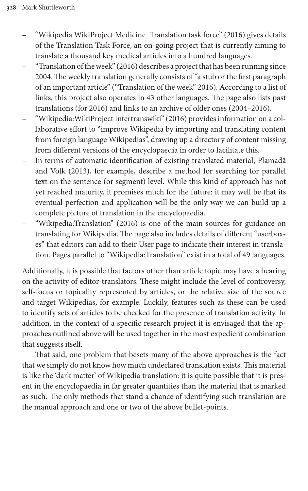- "Wikipedia WikiP[roject](#page-22-5) Medicine\_Translation task force" (2016) gives details of the Translation Task Force, an on-going project that is currently aiming to translate a thousand key medical articles in[to a h](#page-22-5)undred languages.
- "Translation of the week" (2016) describes a project that has been running since 2004. The weekly translation generally consists of "a stub or the first paragraph of an important article" ("Translat[ion of](#page-22-6) the week" 2016). According to a list of links, this project also operates in 43 other languages. The page also lists past translations (for 2016) and links to an archive of older ones (2004–2016).
- "Wikipedia:WikiProject Intertranswiki" (2016) provides information on a collaborative effort to "improve Wikipedia by importing and tra[nslating c](#page-21-12)ontent [from foreig](#page-21-12)n language Wikipedias", drawing up a directory of content missing from different versions of the encyclopaedia in order to facilitate this.
- In terms of automatic identification of existing translated material, Plamadă and Volk (2013), for example, describe a method for searching for parallel text on the sentence (or segment) level. While this kind of approach has not yet reached maturi[ty, it](#page-22-0) promises much for the future: it may well be that its eventual perfection and application will be the only way we can build up a complete picture of translation in the encyclopaedia.
- "Wikipedia:Translation" (2016) is one of the main sources for guidance on translating for Wikipedia. The page also includes details of different "userboxes" that editors can add to their User page to indicate their interest in translation. Pages parallel to "Wikipedia:Translation" exist in a total of 49 languages.

Additionally, it is possible that factors other than article topic may have a bearing on the activity of editor-translators. These might include the level of controversy, self-focus or topicality represented by articles, or the relative size of the source and target Wikipedias, for example. Luckily, features such as these can be used to identify sets of articles to be checked for the presence of translation activity. In addition, in the context of a specific research project it is envisaged that the approaches outlined above will be used together in the most expedient combination that suggests itself.

That said, one problem that besets many of the above approaches is the fact that we simply do not know how much undeclared translation exists. This material is like the 'dark matter' of Wikipedia translation: it is quite possible that it is present in the encyclopaedia in far greater quantities than the material that is marked as such. The only methods that stand a chance of identifying such translation are the manual approach and one or two of the above bullet-points.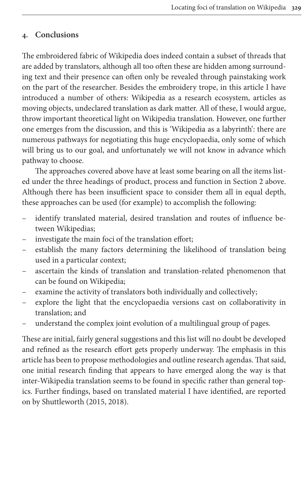#### **4. Conclusions**

The embroidered fabric of Wikipedia does indeed contain a subset of threads that are added by translators, although all too often these are hidden among surrounding text and their presence can often only be revealed through painstaking work on the part of the researcher. Besides the embroidery trope, in this article I have introduced a number of others: Wikipedia as a research ecosystem, articles as moving objects, undeclared translation as dark matter. All of these, I would argue, throw important theoretical light on Wikipedia translation. However, one further one emerges from the discussion, and this is 'Wikipedia as a labyrinth': there are numerous pathways for negotiating this huge encyclopaedia, only some of which will bring us to our goal, and unfortunately we will not [know in ad](#page-2-0)vance which pathway to choose.

The approaches covered above have at least some bearing on all the items listed under the three headings of product, process and function in Section 2 above. Although there has been insufficient space to consider them all in equal depth, these approaches can be used (for example) to accomplish the following:

- identify translated material, desired translation and routes of influence between Wikipedias;
- investigate the main foci of the translation effort;
- establish the many factors determining the likelihood of translation being used in a particular context;
- ascertain the kinds of translation and translation-related phenomenon that can be found on Wikipedia;
- examine the activity of translators both individually and collectively;
- explore the light that the encyclopaedia versions cast on collaborativity in translation; and
- understand the complex joint evolution of a multilingual group of pages.

These are initial, fairly general suggestions and this list will no doubt be developed and refined as the research effort gets properly underway. The emphasis in this article has been to propose methodologies and outline research agendas. That said, one initial re[search](#page-21-2) [findi](#page-21-11)ng that appears to have emerged along the way is that inter-Wikipedia translation seems to be found in specific rather than general topics. Further findings, based on translated material I have identified, are reported on by Shuttleworth (2015, 2018).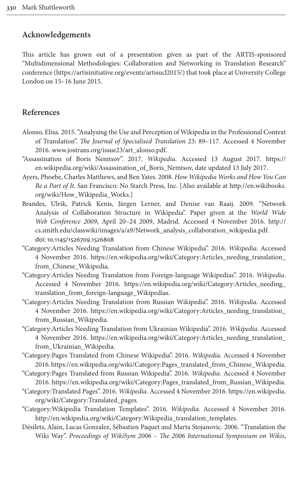#### **Ac[knowledgements](https://artisinitiative.org/events/artisucl2015/)**

This article has grown out of a presentation given as part of the ARTIS-sponsored "Multidimensional Methodologies: Collaboration and Networking in Translation Research" conference (https://artisinitiative.org/events/artisucl2015/) that took place at University College London on 15–16 June 2015.

#### <span id="page-20-0"></span>**R[eferences](http://www.jostrans.org/issue23/art_alonso.pdf)**

- Alonso, Elisa. 2015. "Analysing the Use and Perception of Wikipedia in the Profe[ssional C](https://en.wikipedia.org/wiki/Assassination_of_Boris_Nemtsov)ontext of Translation". *[The Journal of Specialised Trans](https://en.wikipedia.org/wiki/Assassination_of_Boris_Nemtsov)lation* 23: 89–117. Accessed 4 November 2016. www.jostrans.org/issue23/art\_alonso.pdf.
- <span id="page-20-3"></span>"Assassination of Boris Nemtsov". 2017. *Wikipedia*. Accessed [13 August 2017.](http://en.wikibooks.org/wiki/How_Wikipedia_Works) https:// [en.wikipedia.org/wiki/Ass](http://en.wikibooks.org/wiki/How_Wikipedia_Works)assination\_of\_Boris\_Nemtsov, date updated 13 July 2017.
- <span id="page-20-2"></span>Ayers, Phoebe, Charles Matthews, and Ben Yates. 2008. *How Wikipedia Works and How You Can Be a Part of It*. San Francisco: No Starch Press, Inc. [Also available at http:/[/en.wik](http://cs.smith.edu/classwiki/images/a/a9/Network_analysis_collaboration_wikipedia.pdf)ibooks. org/wiki/How\_Wikipedia\_Works.]
- <span id="page-20-6"></span>[Brandes, Ulrik, Patrick Kenis, Jürgen Lerner, and Denise van Raaij. 20](http://cs.smith.edu/classwiki/images/a/a9/Network_analysis_collaboration_wikipedia.pdf)09. "Network [Analysis of Collabo](https://doi.org/10.1145/1526709.1526808)ration Structure in Wikipedia". Paper given at the *World Wide Web Conference 2009*, April 20–24 2009, Madrid. Accessed 4 November 2016. http:// cs.smith.ed[u/classwiki/images/a/a9/Network\\_analysis\\_collaboration\\_wikipedia.pd](https://en.wikipedia.org/wiki/Category:Articles_needing_translation_from_Chinese_Wikipedia)f. doi: [10.1145/152670](https://en.wikipedia.org/wiki/Category:Articles_needing_translation_from_Chinese_Wikipedia)9.1526808
- "Category:Articles Needing Translation from Chinese Wikipedia". 2016. *Wikipedia*. Accessed 4 November 2016. http[s://en.wikipedia.org/wiki/Category:Articles\\_needing\\_trans](https://en.wikipedia.org/wiki/Category:Articles_needing_translation_from_foreign-language_Wikipedias)lation\_ [from\\_Chinese\\_Wikipedia.](https://en.wikipedia.org/wiki/Category:Articles_needing_translation_from_foreign-language_Wikipedias)
- <span id="page-20-7"></span>"Category:Articles Needing Translation from Foreign-language Wikipedias". 2016. *Wikipedia*. Accessed 4 [November 2016. https://en.wikipedia.org/wiki/Category:Articles\\_ne](https://en.wikipedia.org/wiki/Category:Articles_needing_translation_from_Russian_Wikipedia)eding\_ [translation\\_from\\_](https://en.wikipedia.org/wiki/Category:Articles_needing_translation_from_Russian_Wikipedia)foreign-language\_Wikipedias.
- <span id="page-20-8"></span>"Category:Articles Needing Translation from Russian Wikipedia". 2016. *Wikipedia*. Accessed 4 Novembe[r 2016. https://en.wikipedia.org/wiki/Category:Articles\\_needing\\_trans](https://en.wikipedia.org/wiki/Category:Articles_needing_translation_from_Ukrainian_Wikipedia)lation\_ [from\\_Russian\\_Wiki](https://en.wikipedia.org/wiki/Category:Articles_needing_translation_from_Ukrainian_Wikipedia)pedia.
- <span id="page-20-5"></span>"Category:Articles Needing Translation from Ukrainian Wikipedia". 2016. *Wikipedia*. Accessed [4 November 2016. https://en.wikipedia.org/wiki/Category:Articles\\_needing\\_tran](https://en.wikipedia.org/wiki/Category:Pages_translated_from_Chinese_Wikipedia)slation\_ from\_Ukrainian\_Wikipedia.
- <span id="page-20-4"></span>"C[ategory:Pages Translated from Chinese Wikipedia". 2016.](https://en.wikipedia.org/wiki/Category:Pages_translated_from_Russian_Wikipedia) *Wikipedia*. Accessed 4 November 2016. https://en.wikipedia.org/wiki/Category:Pages\_translate[d\\_from\\_Chinese\\_Wik](https://en.wikipedia.org/wiki/Category:Translated_pages)ipedia.
- ["Category:Pages Translated from](https://en.wikipedia.org/wiki/Category:Translated_pages) Russian Wikipedia". 2016. *Wikipedia*. Accessed 4 November 2016. https://en.wikipedia.org/wiki/Category:Pages\_translated\_from\_Russian\_Wikipedia.
- <span id="page-20-1"></span>["Category:Translated Pages". 2016.](http://en.wikipedia.org/wiki/Category:Wikipedia_translation_templates) *Wikipedia*. Accessed 4 November 2016. https://en.wikipedia. org/wiki/Category:Translated\_pages.
- "Category:Wikipedia Translation Templates". 2016. *Wikipedia*. Accessed 4 November 2016. http://en.wikipedia.org/wiki/Category:Wikipedia\_translation\_templates.
- Désilets, Alain, Lucas Gonzalez, Sébastien Paquet and Marta Stojanovic. 2006. "Translation the Wiki Way". *Proceedings of WikiSym 2006 – The 2006 International Symposium on Wikis*,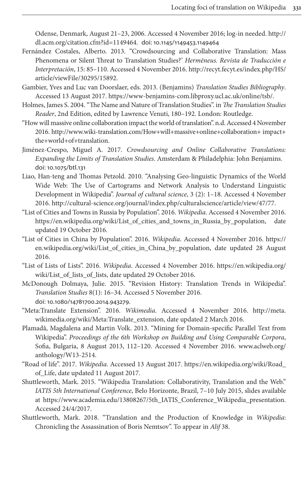<span id="page-21-3"></span>Odense, Denmark, August 21–23, 2006. Accessed 4 November 2016; log-in needed. http:// dl.acm.org/citation.cfm?id=1149464. doi: 10.11[45/1149453.1149464](http://recyt.fecyt.es/index.php/HS/article/viewFile/30295/15892)

- <span id="page-21-0"></span>[Fernández Costales, Albe](http://recyt.fecyt.es/index.php/HS/article/viewFile/30295/15892)rto. 2013. "Crowdsourcing and Collaborative Translation: Mass Phenomena or Silent Threat to Translation Studies?' *Hermēneus. Revista de Traducción e Interpretación*, 15: [85–110. Accessed 4 November 2016. http://recyt.fecyt.es/ind](https://www-benjamins-com.libproxy.ucl.ac.uk/online/tsb/)ex.php/HS/ article/viewFile/30295/15892.
- <span id="page-21-6"></span><span id="page-21-4"></span>Gambier, Yves and Luc van Doorslaer, eds. 2013. (Benjamins) *Translation Studies Bibliography*. Accessed 13 August 2017. https://www-benjamins-com.libproxy.ucl.ac.uk/online/tsb/.
- H[olmes, James S. 2004. "The Name and Nature of Translation Studies". in](http://www.wiki-translation.com/How+will+massive+online+collaboration+impact+the+world+of+translation) *The Translation Studies Reader*[, 2nd Editio](http://www.wiki-translation.com/How+will+massive+online+collaboration+impact+the+world+of+translation)n, edited by Lawrence Venuti, 180–192. London: Routledge.
- "How will massive online collaboration impact the world of translation". n.d. Accessed 4 November 2016. http://www.wiki-translation.com/How+will+massive+online+collaboration+ impact+ [the+world](https://doi.org/10.1075/btl.131)+of+translation.
- <span id="page-21-5"></span>Jiménez-Crespo, Miguel A. 2017. *Crowdsourcing and Online Collaborative Translations: Expanding the Limits of Translation Studies*. Amsterdam & Philadelphia: John Benjamins. doi: 10.1075/btl.131
- <span id="page-21-10"></span>Li[ao, Han-teng and Thomas Petzold. 2010. "Analysing Geo-linguistic Dynamics o](http://cultural-science.org/journal/index.php/culturalscience/article/view/47/77)f the World Wide Web: The Use of Cartograms and Network Analysis to Understand Linguistic [Development in Wikipedia".](https://en.wikipedia.org/wiki/List_of_cities_and_towns_in_Russia_by_population) *Journal of cultural science*, 3 (2): 1–18. Accessed 4 November 2016. http://cultural-science.org/journal/index.php/culturalscience/article/view/47/77.
- <span id="page-21-9"></span>"List of Cities and Towns in Russia by Population". 2016. *Wikipedia*. Accessed 4 [Novembe](https://en.wikipedia.org/wiki/List_of_cities_in_China_by_population)r 2016. [https://en.wikipedia.org/wiki/List\\_of\\_cities\\_and\\_towns](https://en.wikipedia.org/wiki/List_of_cities_in_China_by_population)\_in\_Russia\_by\_population, date updated 19 October 2016.
- <span id="page-21-8"></span>"List of Cities in China by Population". 2016. *Wikipedia*. Acc[essed 4 November 2016.](https://en.wikipedia.org/wiki/List_of_lists_of_lists) https:// [en.wikipedia.org/w](https://en.wikipedia.org/wiki/List_of_lists_of_lists)iki/List\_of\_cities\_in\_China\_by\_population, date updated 28 August 2016.
- <span id="page-21-1"></span>"List of Lists of Lists". 2016. *Wikipedia*. Accessed 4 November 2016. https://en.wikipedia.org/ [wiki/List\\_of\\_lists\\_of\\_lists,](https://doi.org/10.1080/14781700.2014.943279) date updated 29 October 2016.
- <span id="page-21-7"></span>McDonough Dolmaya, Julie. 2015. "Revision History: Translation Tre[nds in Wik](http://meta.wikimedia.org/wiki/Meta:Translate_extension)ipedia". *Translation Studies* [8\(1\): 16–34. Access](http://meta.wikimedia.org/wiki/Meta:Translate_extension)ed 5 November 2016. doi: 10.1080/14781700.2014.943279.
- <span id="page-21-12"></span>"Meta:Translate Extension". 2016. *Wikimedia*. Accessed 4 November 2016. http://meta. wikimedia.org/wiki/Meta:Translate\_extension, date updated 2 M[arch 2016.](http://www.aclweb.org/anthology/W13-2514)
- [Plamadă, Magdale](http://www.aclweb.org/anthology/W13-2514)na and Martin Volk. 2013. "Mining for Domain-specific Parallel Text from Wikipedia". *Proceedings of the 6th Workshop [on Building and Using Comparable C](https://en.wikipedia.org/wiki/Road_of_Life)orpora*, Sofia, Bulgaria, 8 August 2013, 112–120. Accessed 4 November 2016. www.aclweb.org/ anthology/W13-2514.
- <span id="page-21-2"></span>"Road of life". 2017. *Wikipedia*. Accessed 13 August 2017. https://en.wikipedia.org/wiki/Road\_ [of\\_Life, date updated 11 August 2017.](https://www.academia.edu/13808267/5th_IATIS_Conference_Wikipedia_presentation)
- <span id="page-21-11"></span>Shuttleworth, Mark. 2015. "Wikipedia Translation: Collaborativity, Translation and the Web." *IATIS 5th International Conference*, Belo Horizonte, Brazil, 7–10 July 2015, slides available at https://www.academia.edu/13808267/5th\_IATIS\_Conference\_Wikipedia\_presentation. Accessed 24/4/2017.
- Shuttleworth, Mark. 2018. "Translation and the Production of Knowledge in *Wikipedia*: Chronicling the Assassination of Boris Nemtsov". To appear in *Alif* 38.